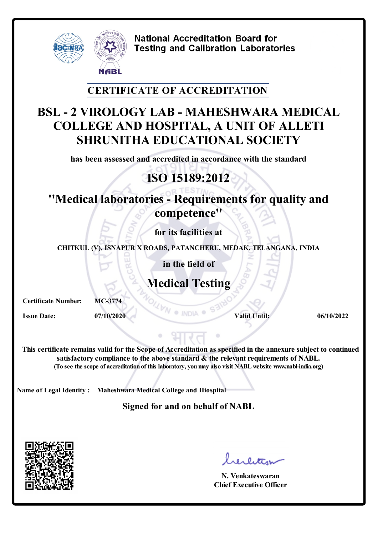

**National Accreditation Board for Testing and Calibration Laboratories** 

#### **CERTIFICATE OF ACCREDITATION**

### **BSL - 2 VIROLOGY LAB - MAHESHWARA MEDICAL COLLEGE AND HOSPITAL, A UNIT OF ALLETI SHRUNITHA EDUCATIONAL SOCIETY**

**has been assessed and accredited in accordance with the standard**

# **ISO 15189:2012**

## **''Medical laboratories - Requirements for quality and competence''**

**for its facilities at**

**CHITKUL (V), ISNAPUR X ROADS, PATANCHERU, MEDAK, TELANGANA, INDIA**

**in the field of**

# **Medical Testing**

**Certificate Number: MC-3774 Issue Date: 07/10/2020 Valid Until: 06/10/2022 Valid Until: 06/10/2022** 

**This certificate remains valid forthe Scope of Accreditation as specified in the annexure subject to continued satisfactory compliance to the above standard & the relevant requirements of NABL. (To see the scope of accreditation of this laboratory, youmay also visit NABLwebsite www.nabl-india.org)**

**Name of Legal Identity : Maheshwara Medical College and Hiospital**

**Signed for and on behalf of NABL**



**N. Venkateswaran Chief Executive Officer**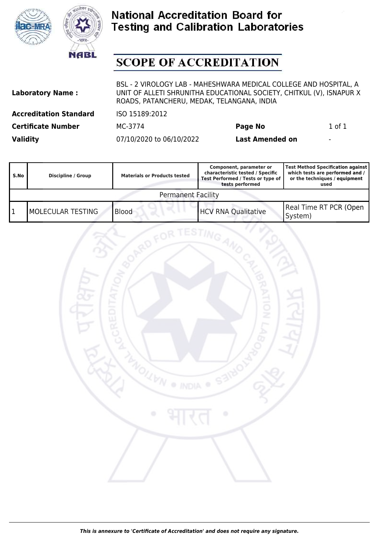



### **National Accreditation Board for Testing and Calibration Laboratories**

## **SCOPE OF ACCREDITATION**

| <b>Laboratory Name:</b>       | BSL - 2 VIROLOGY LAB - MAHESHWARA MEDICAL COLLEGE AND HOSPITAL, A<br>UNIT OF ALLETI SHRUNITHA EDUCATIONAL SOCIETY, CHITKUL (V), ISNAPUR X<br>ROADS, PATANCHERU, MEDAK, TELANGANA, INDIA |                        |                          |
|-------------------------------|-----------------------------------------------------------------------------------------------------------------------------------------------------------------------------------------|------------------------|--------------------------|
| <b>Accreditation Standard</b> | ISO 15189:2012                                                                                                                                                                          |                        |                          |
| <b>Certificate Number</b>     | MC-3774                                                                                                                                                                                 | Page No                | $1$ of $1$               |
| <b>Validity</b>               | 07/10/2020 to 06/10/2022                                                                                                                                                                | <b>Last Amended on</b> | $\overline{\phantom{a}}$ |

| S.No                      | Discipline / Group | <b>Materials or Products tested</b> | Component, parameter or<br>characteristic tested / Specific<br>Test Performed / Tests or type of<br>tests performed | Test Method Specification against<br>which tests are performed and /<br>or the techniques / equipment<br>used |
|---------------------------|--------------------|-------------------------------------|---------------------------------------------------------------------------------------------------------------------|---------------------------------------------------------------------------------------------------------------|
| <b>Permanent Facility</b> |                    |                                     |                                                                                                                     |                                                                                                               |
|                           | IMOLECULAR TESTING | <b>Blood</b>                        | <b>HCV RNA Qualitative</b>                                                                                          | Real Time RT PCR (Open<br>System)                                                                             |

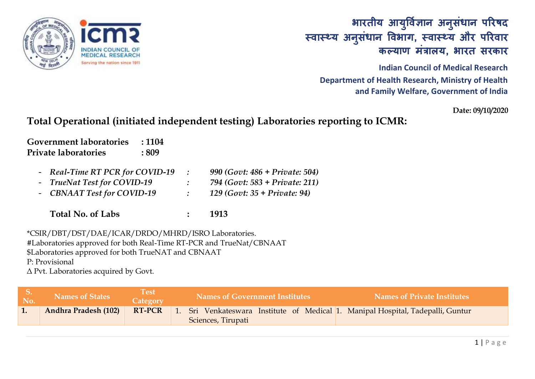

### **भारतीय आय ु र्वज्ञि ान अन ुसंधान पररषद स्वास््य अन ुसंधान र्वभाग, स्वास््य और पररवार कल्याण मंत्रालय, भारत सरकार**

**Indian Council of Medical Research Department of Health Research, Ministry of Health and Family Welfare, Government of India**

**Date: 09/10/2020**

#### **Total Operational (initiated independent testing) Laboratories reporting to ICMR:**

**Government laboratories : 1104 Private laboratories : 809**

- *Real-Time RT PCR for COVID-19 : 990 (Govt: 486 + Private: 504)*
- *TrueNat Test for COVID-19 : 794 (Govt: 583 + Private: 211)*
- *CBNAAT Test for COVID-19 : 129 (Govt: 35 + Private: 94)*

**Total No. of Labs : 1913**

\*CSIR/DBT/DST/DAE/ICAR/DRDO/MHRD/ISRO Laboratories. #Laboratories approved for both Real-Time RT-PCR and TrueNat/CBNAAT \$Laboratories approved for both TrueNAT and CBNAAT

P: Provisional

Δ Pvt. Laboratories acquired by Govt.

| No. | <b>Names of States</b>      | <b>Test</b><br>Category | <b>Names of Government Institutes</b>                                                                 | <b>Names of Private Institutes</b> |
|-----|-----------------------------|-------------------------|-------------------------------------------------------------------------------------------------------|------------------------------------|
| 1.  | <b>Andhra Pradesh (102)</b> | <b>RT-PCR</b>           | 1. Sri Venkateswara Institute of Medical 1. Manipal Hospital, Tadepalli, Guntur<br>Sciences, Tirupati |                                    |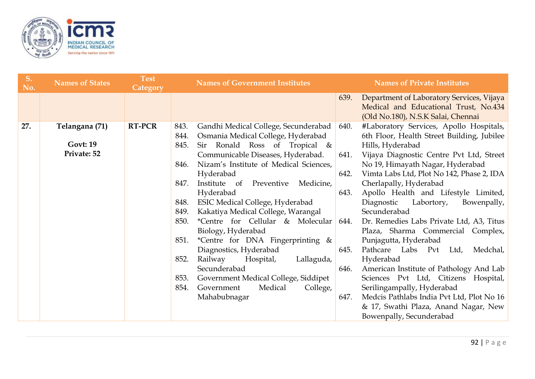

| S.<br>No. | <b>Names of States</b>                           | <b>Test</b><br><b>Category</b> | <b>Names of Government Institutes</b>                                                                                                                                                                                                                                                                                                                                                                                                                                                                                                 | <b>Names of Private Institutes</b>                                                                                                                                                                                                                                                                                                                                                                                                                                                                                                                                                                        |  |
|-----------|--------------------------------------------------|--------------------------------|---------------------------------------------------------------------------------------------------------------------------------------------------------------------------------------------------------------------------------------------------------------------------------------------------------------------------------------------------------------------------------------------------------------------------------------------------------------------------------------------------------------------------------------|-----------------------------------------------------------------------------------------------------------------------------------------------------------------------------------------------------------------------------------------------------------------------------------------------------------------------------------------------------------------------------------------------------------------------------------------------------------------------------------------------------------------------------------------------------------------------------------------------------------|--|
|           |                                                  |                                |                                                                                                                                                                                                                                                                                                                                                                                                                                                                                                                                       | Department of Laboratory Services, Vijaya<br>639.<br>Medical and Educational Trust, No.434                                                                                                                                                                                                                                                                                                                                                                                                                                                                                                                |  |
| 27.       | Telangana (71)<br><b>Govt: 19</b><br>Private: 52 | <b>RT-PCR</b>                  | Gandhi Medical College, Secunderabad<br>843.<br>Osmania Medical College, Hyderabad<br>844.<br>Sir Ronald Ross of Tropical &<br>845.<br>Communicable Diseases, Hyderabad.<br>Nizam's Institute of Medical Sciences,<br>846.<br>Hyderabad<br>847.<br>Institute of Preventive<br>Medicine,<br>Hyderabad<br>ESIC Medical College, Hyderabad<br>848.<br>Kakatiya Medical College, Warangal<br>849.<br>*Centre for Cellular & Molecular<br>850.<br>Biology, Hyderabad<br>*Centre for DNA Fingerprinting &<br>851.<br>Diagnostics, Hyderabad | (Old No.180), N.S.K Salai, Chennai<br>#Laboratory Services, Apollo Hospitals,<br>640.<br>6th Floor, Health Street Building, Jubilee<br>Hills, Hyderabad<br>641.<br>Vijaya Diagnostic Centre Pvt Ltd, Street<br>No 19, Himayath Nagar, Hyderabad<br>642.<br>Vimta Labs Ltd, Plot No 142, Phase 2, IDA<br>Cherlapally, Hyderabad<br>Apollo Health and Lifestyle Limited,<br>643.<br>Labortory,<br>Diagnostic<br>Bowenpally,<br>Secunderabad<br>Dr. Remedies Labs Private Ltd, A3, Titus<br>644.<br>Plaza, Sharma Commercial Complex,<br>Punjagutta, Hyderabad<br>Pathcare Labs Pvt Ltd,<br>645.<br>Medchal, |  |
|           |                                                  |                                | Railway<br>852.<br>Hospital,<br>Lallaguda,<br>Secunderabad<br>Government Medical College, Siddipet<br>853.<br>Medical<br>College,<br>854.<br>Government<br>Mahabubnagar                                                                                                                                                                                                                                                                                                                                                               | Hyderabad<br>American Institute of Pathology And Lab<br>646.<br>Sciences Pvt Ltd, Citizens Hospital,<br>Serilingampally, Hyderabad<br>Medcis Pathlabs India Pvt Ltd, Plot No 16<br>647.<br>& 17, Swathi Plaza, Anand Nagar, New<br>Bowenpally, Secunderabad                                                                                                                                                                                                                                                                                                                                               |  |